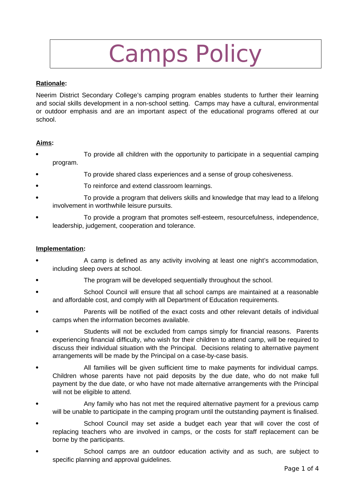# Camps Policy

### **Rationale:**

Neerim District Secondary College's camping program enables students to further their learning and social skills development in a non-school setting. Camps may have a cultural, environmental or outdoor emphasis and are an important aspect of the educational programs offered at our school.

#### **Aims:**

- To provide all children with the opportunity to participate in a sequential camping program.
- To provide shared class experiences and a sense of group cohesiveness.
- To reinforce and extend classroom learnings.
- To provide a program that delivers skills and knowledge that may lead to a lifelong involvement in worthwhile leisure pursuits.
- To provide a program that promotes self-esteem, resourcefulness, independence, leadership, judgement, cooperation and tolerance.

#### **Implementation:**

- A camp is defined as any activity involving at least one night's accommodation, including sleep overs at school.
- The program will be developed sequentially throughout the school.
- School Council will ensure that all school camps are maintained at a reasonable and affordable cost, and comply with all Department of Education requirements.
- Parents will be notified of the exact costs and other relevant details of individual camps when the information becomes available.
- Students will not be excluded from camps simply for financial reasons. Parents experiencing financial difficulty, who wish for their children to attend camp, will be required to discuss their individual situation with the Principal. Decisions relating to alternative payment arrangements will be made by the Principal on a case-by-case basis.
- All families will be given sufficient time to make payments for individual camps. Children whose parents have not paid deposits by the due date, who do not make full payment by the due date, or who have not made alternative arrangements with the Principal will not be eligible to attend.
- Any family who has not met the required alternative payment for a previous camp will be unable to participate in the camping program until the outstanding payment is finalised.
- School Council may set aside a budget each year that will cover the cost of replacing teachers who are involved in camps, or the costs for staff replacement can be borne by the participants.
- School camps are an outdoor education activity and as such, are subject to specific planning and approval guidelines.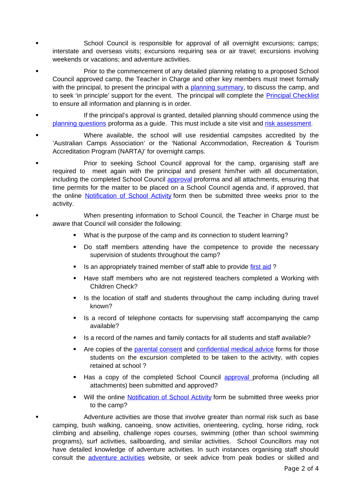- School Council is responsible for approval of all overnight excursions; camps; interstate and overseas visits; excursions requiring sea or air travel; excursions involving weekends or vacations; and adventure activities.
- Prior to the commencement of any detailed planning relating to a proposed School Council approved camp, the Teacher in Charge and other key members must meet formally with the principal, to present the principal with a [planning summary,](http://www.eduweb.vic.gov.au/edulibrary/public/schadmin/schops/edoutdoors/planningsummary.doc) to discuss the camp, and to seek 'in principle' support for the event. The principal will complete the [Principal Checklist](http://www.education.vic.gov.au/school/principals/safety/Pages/outdoorforms.aspx) to ensure all information and planning is in order.
- If the principal's approval is granted, detailed planning should commence using the [planning questions](http://www.eduweb.vic.gov.au/edulibrary/public/schadmin/schops/edoutdoors/planningquestions.doc) proforma as a guide. This must include a site visit and [risk assessment.](http://www.education.vic.gov.au/school/principals/safety/Pages/outdoorrisk.aspx)
- Where available, the school will use residential campsites accredited by the 'Australian Camps Association' or the 'National Accommodation, Recreation & Tourism Accreditation Program (NARTA*)*' for overnight camps.
- Prior to seeking School Council approval for the camp, organising staff are required to meet again with the principal and present him/her with all documentation, including the completed School Council [approval](http://www.eduweb.vic.gov.au/edulibrary/public/schadmin/schops/edoutdoors/approvalform.doc) proforma and all attachments, ensuring that time permits for the matter to be placed on a School Council agenda and, if approved, that the online [Notification of School Activity](http://www.eduweb.vic.gov.au/forms/school/sal/enteractivity.asp) form then be submitted three weeks prior to the activity.
- When presenting information to School Council, the Teacher in Charge must be aware that Council will consider the following:
	- What is the purpose of the camp and its connection to student learning?
	- Do staff members attending have the competence to provide the necessary supervision of students throughout the camp?
	- Is an appropriately trained member of staff able to provide [first aid](http://www.education.vic.gov.au/management/schooloperations/edoutdoors/resources/firstaid.htm) ?
	- Have staff members who are not registered teachers completed a Working with Children Check?
	- Is the location of staff and students throughout the camp including during travel known?
	- Is a record of telephone contacts for supervising staff accompanying the camp available?
	- Is a record of the names and family contacts for all students and staff available?
	- Are copies of the [parental consent](http://www.eduweb.vic.gov.au/edulibrary/public/schadmin/schops/edoutdoors/parentconsent.doc) and [confidential medical advice](http://www.eduweb.vic.gov.au/edulibrary/public/schadmin/schops/edoutdoors/medicalinformation.doc) forms for those students on the excursion completed to be taken to the activity, with copies retained at school ?
	- Has a copy of the completed School Council [approval](http://www.education.vic.gov.au/school/principals/safety/Pages/outdoorforms.aspx) proforma (including all attachments) been submitted and approved?
	- Will the online [Notification of School Activity](http://www.eduweb.vic.gov.au/forms/school/sal/enteractivity.asp) form be submitted three weeks prior to the camp?
	- Adventure activities are those that involve greater than normal risk such as base camping, bush walking, canoeing, snow activities, orienteering, cycling, horse riding, rock climbing and abseiling, challenge ropes courses, swimming (other than school swimming programs), surf activities, sailboarding, and similar activities. School Councillors may not have detailed knowledge of adventure activities. In such instances organising staff should consult the **adventure activities** website, or seek advice from peak bodies or skilled and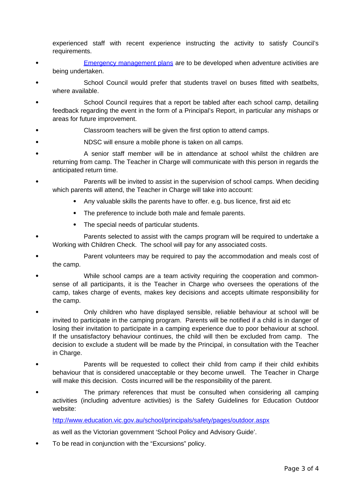experienced staff with recent experience instructing the activity to satisfy Council's requirements.

- [Emergency management plans](http://www.education.vic.gov.au/school/principals/safety/Pages/outdoorforms.aspx) are to be developed when adventure activities are being undertaken.
- School Council would prefer that students travel on buses fitted with seatbelts, where available.
- School Council requires that a report be tabled after each school camp, detailing feedback regarding the event in the form of a Principal's Report, in particular any mishaps or areas for future improvement.
- Classroom teachers will be given the first option to attend camps.
- NDSC will ensure a mobile phone is taken on all camps.
- A senior staff member will be in attendance at school whilst the children are returning from camp. The Teacher in Charge will communicate with this person in regards the anticipated return time.
- Parents will be invited to assist in the supervision of school camps. When deciding which parents will attend, the Teacher in Charge will take into account:
	- Any valuable skills the parents have to offer. e.g. bus licence, first aid etc
	- The preference to include both male and female parents.
	- The special needs of particular students.
- Parents selected to assist with the camps program will be required to undertake a Working with Children Check. The school will pay for any associated costs.
- Parent volunteers may be required to pay the accommodation and meals cost of the camp.
- While school camps are a team activity requiring the cooperation and commonsense of all participants, it is the Teacher in Charge who oversees the operations of the camp, takes charge of events, makes key decisions and accepts ultimate responsibility for the camp.
- Only children who have displayed sensible, reliable behaviour at school will be invited to participate in the camping program. Parents will be notified if a child is in danger of losing their invitation to participate in a camping experience due to poor behaviour at school. If the unsatisfactory behaviour continues, the child will then be excluded from camp. The decision to exclude a student will be made by the Principal, in consultation with the Teacher in Charge.
- Parents will be requested to collect their child from camp if their child exhibits behaviour that is considered unacceptable or they become unwell. The Teacher in Charge will make this decision. Costs incurred will be the responsibility of the parent.
- The primary references that must be consulted when considering all camping activities (including adventure activities) is the Safety Guidelines for Education Outdoor website:

<http://www.education.vic.gov.au/school/principals/safety/pages/outdoor.aspx>

as well as the Victorian government 'School Policy and Advisory Guide'.

To be read in conjunction with the "Excursions" policy.